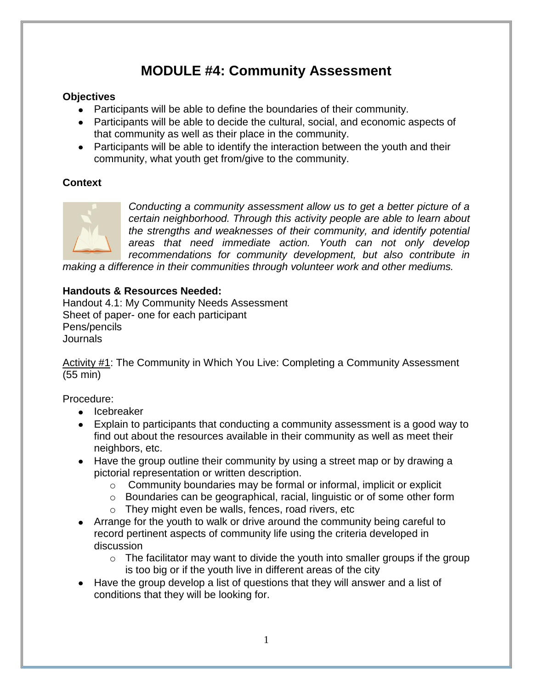# **MODULE #4: Community Assessment**

## **Objectives**

- Participants will be able to define the boundaries of their community.
- Participants will be able to decide the cultural, social, and economic aspects of that community as well as their place in the community.
- Participants will be able to identify the interaction between the youth and their community, what youth get from/give to the community.

## **Context**



*Conducting a community assessment allow us to get a better picture of a certain neighborhood. Through this activity people are able to learn about the strengths and weaknesses of their community, and identify potential areas that need immediate action. Youth can not only develop recommendations for community development, but also contribute in* 

*making a difference in their communities through volunteer work and other mediums.*

### **Handouts & Resources Needed:**

Handout 4.1: My Community Needs Assessment Sheet of paper- one for each participant Pens/pencils **Journals** 

Activity #1: The Community in Which You Live: Completing a Community Assessment (55 min)

Procedure:

- Icebreaker
- Explain to participants that conducting a community assessment is a good way to find out about the resources available in their community as well as meet their neighbors, etc.
- Have the group outline their community by using a street map or by drawing a pictorial representation or written description.
	- o Community boundaries may be formal or informal, implicit or explicit
	- o Boundaries can be geographical, racial, linguistic or of some other form
	- o They might even be walls, fences, road rivers, etc
- Arrange for the youth to walk or drive around the community being careful to record pertinent aspects of community life using the criteria developed in discussion
	- $\circ$  The facilitator may want to divide the youth into smaller groups if the group is too big or if the youth live in different areas of the city
- Have the group develop a list of questions that they will answer and a list of conditions that they will be looking for.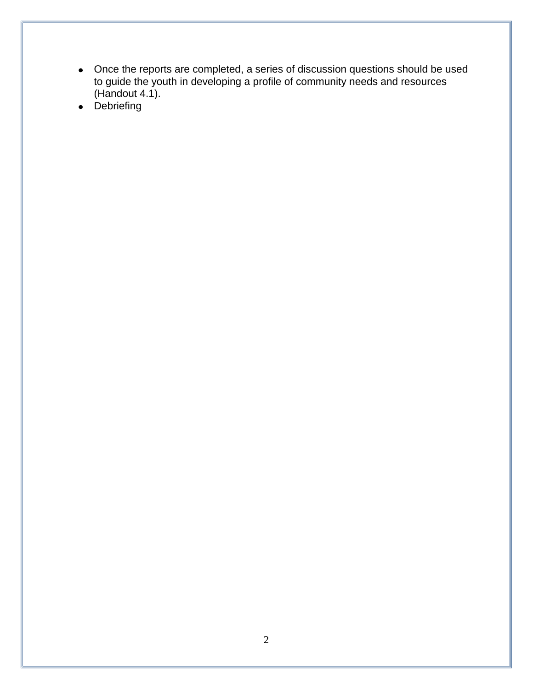- Once the reports are completed, a series of discussion questions should be used to guide the youth in developing a profile of community needs and resources  $(Handout 4.1).$
- Debriefing